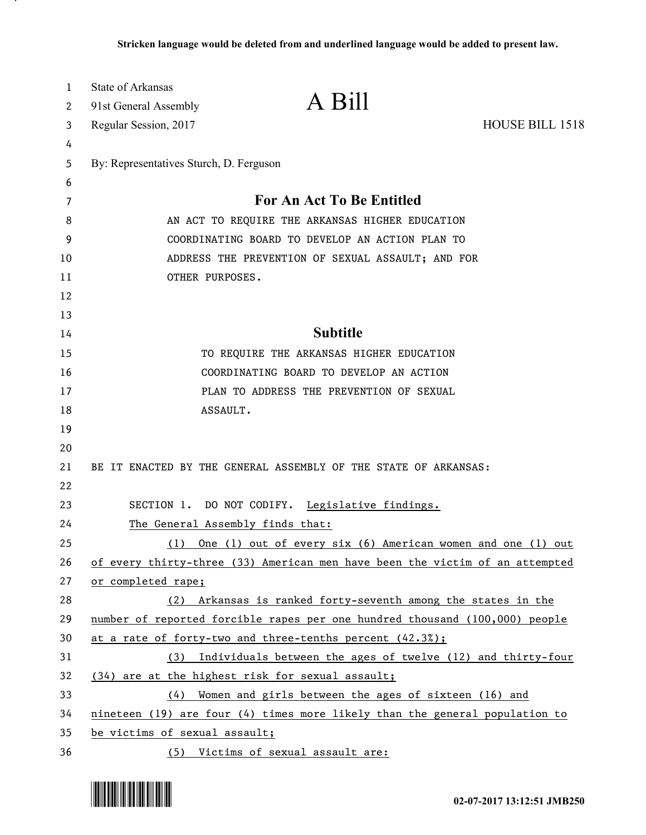| 1  | <b>State of Arkansas</b>                |                                                                              |                        |
|----|-----------------------------------------|------------------------------------------------------------------------------|------------------------|
| 2  | 91st General Assembly                   | A Bill                                                                       |                        |
| 3  | Regular Session, 2017                   |                                                                              | <b>HOUSE BILL 1518</b> |
| 4  |                                         |                                                                              |                        |
| 5  | By: Representatives Sturch, D. Ferguson |                                                                              |                        |
| 6  |                                         |                                                                              |                        |
| 7  |                                         | <b>For An Act To Be Entitled</b>                                             |                        |
| 8  |                                         | AN ACT TO REQUIRE THE ARKANSAS HIGHER EDUCATION                              |                        |
| 9  |                                         | COORDINATING BOARD TO DEVELOP AN ACTION PLAN TO                              |                        |
| 10 |                                         | ADDRESS THE PREVENTION OF SEXUAL ASSAULT; AND FOR                            |                        |
| 11 | OTHER PURPOSES.                         |                                                                              |                        |
| 12 |                                         |                                                                              |                        |
| 13 |                                         |                                                                              |                        |
| 14 |                                         | <b>Subtitle</b>                                                              |                        |
| 15 |                                         | TO REQUIRE THE ARKANSAS HIGHER EDUCATION                                     |                        |
| 16 |                                         | COORDINATING BOARD TO DEVELOP AN ACTION                                      |                        |
| 17 |                                         | PLAN TO ADDRESS THE PREVENTION OF SEXUAL                                     |                        |
| 18 | ASSAULT.                                |                                                                              |                        |
| 19 |                                         |                                                                              |                        |
| 20 |                                         |                                                                              |                        |
| 21 |                                         | BE IT ENACTED BY THE GENERAL ASSEMBLY OF THE STATE OF ARKANSAS:              |                        |
| 22 |                                         |                                                                              |                        |
| 23 |                                         | SECTION 1. DO NOT CODIFY. Legislative findings.                              |                        |
| 24 |                                         | The General Assembly finds that:                                             |                        |
| 25 | (1)                                     | One (1) out of every six (6) American women and one (1) out                  |                        |
| 26 |                                         | of every thirty-three (33) American men have been the victim of an attempted |                        |
| 27 | or completed rape;                      |                                                                              |                        |
| 28 |                                         | (2) Arkansas is ranked forty-seventh among the states in the                 |                        |
| 29 |                                         | number of reported forcible rapes per one hundred thousand (100,000) people  |                        |
| 30 |                                         | at a rate of forty-two and three-tenths percent (42.3%);                     |                        |
| 31 |                                         | (3) Individuals between the ages of twelve (12) and thirty-four              |                        |
| 32 |                                         | (34) are at the highest risk for sexual assault;                             |                        |
| 33 | (4)                                     | Women and girls between the ages of sixteen (16) and                         |                        |
| 34 |                                         | nineteen (19) are four (4) times more likely than the general population to  |                        |
| 35 | be victims of sexual assault;           |                                                                              |                        |
| 36 |                                         | (5) Victims of sexual assault are:                                           |                        |



.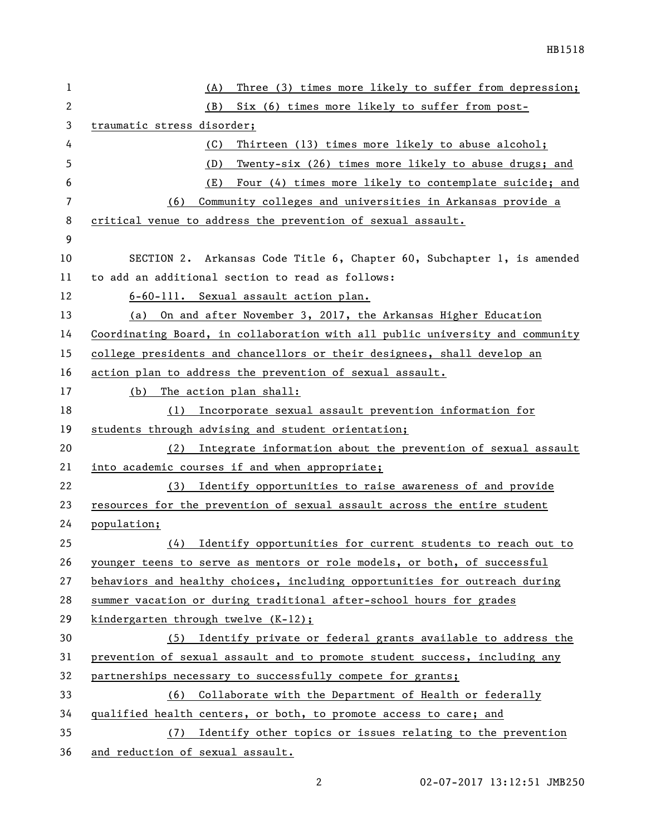| 1              | Three (3) times more likely to suffer from depression;<br>(A)                 |  |  |
|----------------|-------------------------------------------------------------------------------|--|--|
| $\overline{2}$ | Six (6) times more likely to suffer from post-<br>(B)                         |  |  |
| 3              | traumatic stress disorder;                                                    |  |  |
| 4              | Thirteen (13) times more likely to abuse alcohol;<br>(C)                      |  |  |
| 5              | Twenty-six (26) times more likely to abuse drugs; and<br>(D)                  |  |  |
| 6              | (E)<br>Four (4) times more likely to contemplate suicide; and                 |  |  |
| 7              | Community colleges and universities in Arkansas provide a<br>(6)              |  |  |
| 8              | critical venue to address the prevention of sexual assault.                   |  |  |
| 9              |                                                                               |  |  |
| 10             | SECTION 2. Arkansas Code Title 6, Chapter 60, Subchapter 1, is amended        |  |  |
| 11             | to add an additional section to read as follows:                              |  |  |
| 12             | 6-60-111. Sexual assault action plan.                                         |  |  |
| 13             | (a) On and after November 3, 2017, the Arkansas Higher Education              |  |  |
| 14             | Coordinating Board, in collaboration with all public university and community |  |  |
| 15             | college presidents and chancellors or their designees, shall develop an       |  |  |
| 16             | action plan to address the prevention of sexual assault.                      |  |  |
| 17             | (b) The action plan shall:                                                    |  |  |
| 18             | (1) Incorporate sexual assault prevention information for                     |  |  |
| 19             | students through advising and student orientation;                            |  |  |
| 20             | (2) Integrate information about the prevention of sexual assault              |  |  |
| 21             | into academic courses if and when appropriate;                                |  |  |
| 22             | (3) Identify opportunities to raise awareness of and provide                  |  |  |
| 23             | resources for the prevention of sexual assault across the entire student      |  |  |
| 24             | population;                                                                   |  |  |
| 25             | Identify opportunities for current students to reach out to<br>(4)            |  |  |
| 26             | younger teens to serve as mentors or role models, or both, of successful      |  |  |
| 27             | behaviors and healthy choices, including opportunities for outreach during    |  |  |
| 28             | summer vacation or during traditional after-school hours for grades           |  |  |
| 29             | kindergarten through twelve (K-12);                                           |  |  |
| 30             | (5) Identify private or federal grants available to address the               |  |  |
| 31             | prevention of sexual assault and to promote student success, including any    |  |  |
| 32             | partnerships necessary to successfully compete for grants;                    |  |  |
| 33             | (6) Collaborate with the Department of Health or federally                    |  |  |
| 34             | qualified health centers, or both, to promote access to care; and             |  |  |
| 35             | (7) Identify other topics or issues relating to the prevention                |  |  |
| 36             | and reduction of sexual assault.                                              |  |  |